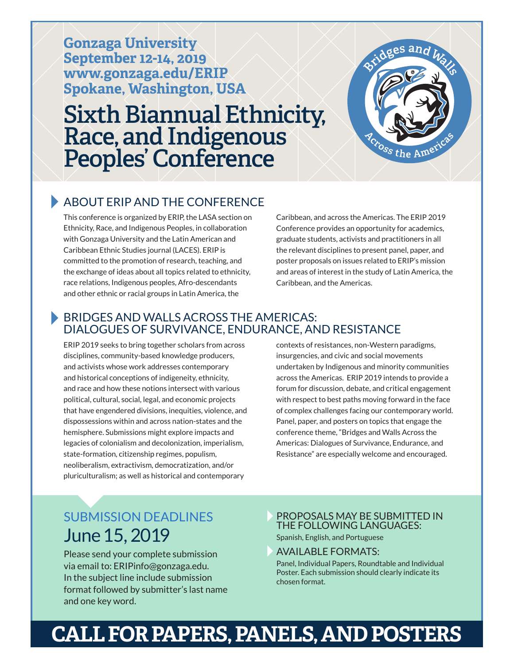**Gonzaga University September 12-14, 2019 www.gonzaga.edu/ERIP Spokane, Washington, USA**

# **Sixth Biannual Ethnicity, Race, and Indigenous Peoples' Conference**



#### **ABOUT FRIP AND THE CONFERENCE**

This conference is organized by ERIP, the LASA section on Ethnicity, Race, and Indigenous Peoples, in collaboration with Gonzaga University and the Latin American and Caribbean Ethnic Studies journal (LACES). ERIP is committed to the promotion of research, teaching, and the exchange of ideas about all topics related to ethnicity, race relations, Indigenous peoples, Afro-descendants and other ethnic or racial groups in Latin America, the

Caribbean, and across the Americas. The ERIP 2019 Conference provides an opportunity for academics, graduate students, activists and practitioners in all the relevant disciplines to present panel, paper, and poster proposals on issues related to ERIP's mission and areas of interest in the study of Latin America, the Caribbean, and the Americas.

#### **BRIDGES AND WALLS ACROSS THE AMERICAS:** DIALOGUES OF SURVIVANCE, ENDURANCE, AND RESISTANCE

ERIP 2019 seeks to bring together scholars from across disciplines, community-based knowledge producers, and activists whose work addresses contemporary and historical conceptions of indigeneity, ethnicity, and race and how these notions intersect with various political, cultural, social, legal, and economic projects that have engendered divisions, inequities, violence, and dispossessions within and across nation-states and the hemisphere. Submissions might explore impacts and legacies of colonialism and decolonization, imperialism, state-formation, citizenship regimes, populism, neoliberalism, extractivism, democratization, and/or pluriculturalism; as well as historical and contemporary

contexts of resistances, non-Western paradigms, insurgencies, and civic and social movements undertaken by Indigenous and minority communities across the Americas. ERIP 2019 intends to provide a forum for discussion, debate, and critical engagement with respect to best paths moving forward in the face of complex challenges facing our contemporary world. Panel, paper, and posters on topics that engage the conference theme, "Bridges and Walls Across the Americas: Dialogues of Survivance, Endurance, and Resistance" are especially welcome and encouraged.

## SUBMISSION DEADLINES June 15, 2019

Please send your complete submission via email to: ERIPinfo@gonzaga.edu. In the subject line include submission format followed by submitter's last name and one key word.

#### PROPOSALS MAY BE SUBMITTED IN THE FOLLOWING LANGUAGES: Spanish, English, and Portuguese

#### AVAILABLE FORMATS:

Panel, Individual Papers, Roundtable and Individual Poster. Each submission should clearly indicate its chosen format.

# **CALL FOR PAPERS, PANELS, AND POSTERS**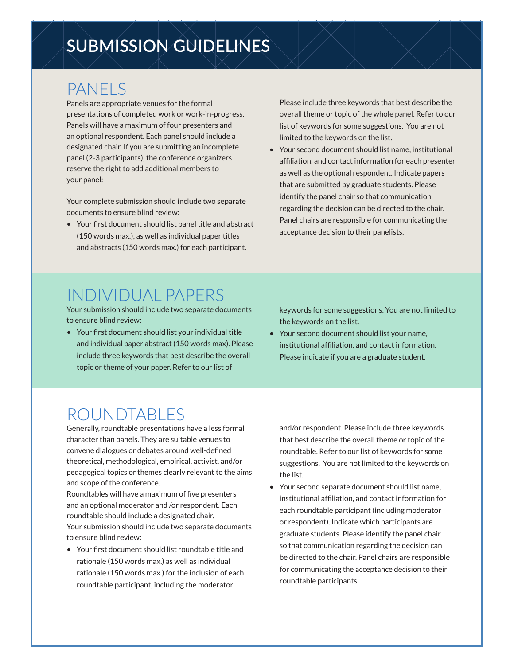# **SUBMISSION GUIDELINES**

### PANELS

Panels are appropriate venues for the formal presentations of completed work or work-in-progress. Panels will have a maximum of four presenters and an optional respondent. Each panel should include a designated chair. If you are submitting an incomplete panel (2-3 participants), the conference organizers reserve the right to add additional members to your panel:

Your complete submission should include two separate documents to ensure blind review:

• Your first document should list panel title and abstract (150 words max.), as well as individual paper titles and abstracts (150 words max.) for each participant.

Please include three keywords that best describe the overall theme or topic of the whole panel. Refer to our list of keywords for some suggestions. You are not limited to the keywords on the list.

• Your second document should list name, institutional affiliation, and contact information for each presenter as well as the optional respondent. Indicate papers that are submitted by graduate students. Please identify the panel chair so that communication regarding the decision can be directed to the chair. Panel chairs are responsible for communicating the acceptance decision to their panelists.

### INDIVIDUAL PAPERS

Your submission should include two separate documents to ensure blind review:

• Your first document should list your individual title and individual paper abstract (150 words max). Please include three keywords that best describe the overall topic or theme of your paper. Refer to our list of

keywords for some suggestions. You are not limited to the keywords on the list.

• Your second document should list your name, institutional affiliation, and contact information. Please indicate if you are a graduate student.

## ROUNDTABLES

Generally, roundtable presentations have a less formal character than panels. They are suitable venues to convene dialogues or debates around well-defined theoretical, methodological, empirical, activist, and/or pedagogical topics or themes clearly relevant to the aims and scope of the conference.

Roundtables will have a maximum of five presenters and an optional moderator and /or respondent. Each roundtable should include a designated chair. Your submission should include two separate documents to ensure blind review:

• Your first document should list roundtable title and rationale (150 words max.) as well as individual rationale (150 words max.) for the inclusion of each roundtable participant, including the moderator

and/or respondent. Please include three keywords that best describe the overall theme or topic of the roundtable. Refer to our list of keywords for some suggestions. You are not limited to the keywords on the list.

• Your second separate document should list name, institutional affiliation, and contact information for each roundtable participant (including moderator or respondent). Indicate which participants are graduate students. Please identify the panel chair so that communication regarding the decision can be directed to the chair. Panel chairs are responsible for communicating the acceptance decision to their roundtable participants.